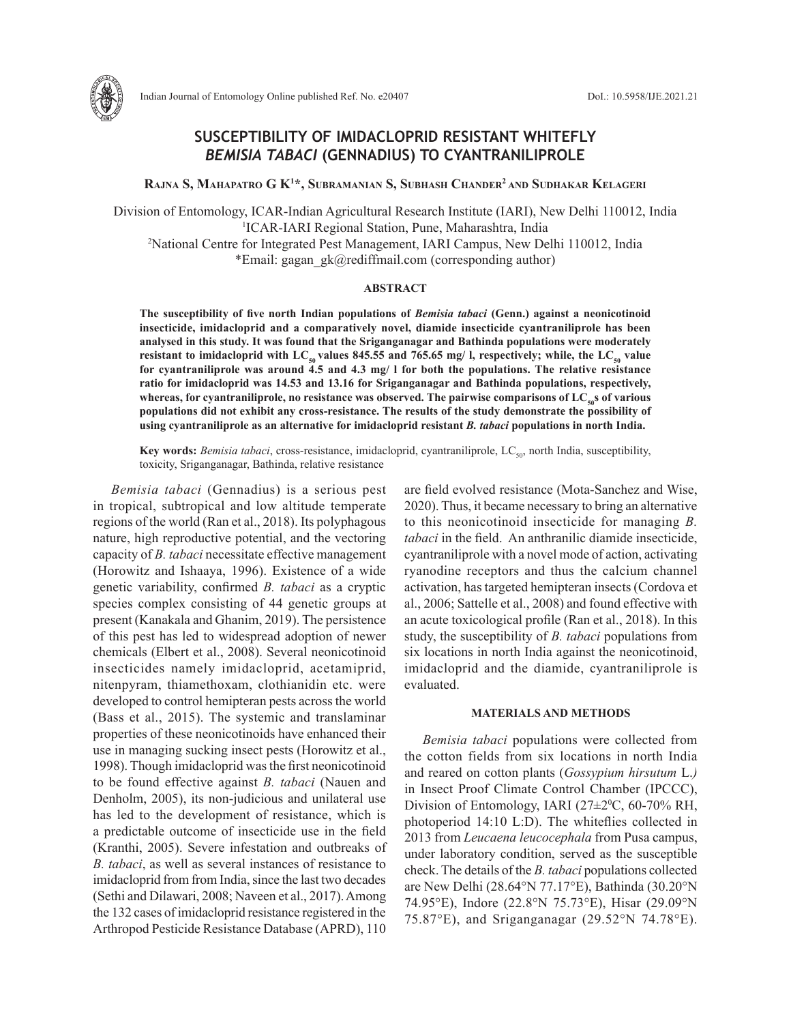

# **SUSCEPTIBILITY OF IMIDACLOPRID RESISTANT WHITEFLY**  *BEMISIA TABACI* **(GENNADIUS) TO CYANTRANILIPROLE**

**Rajna S, Mahapatro G K1 \*, Subramanian S, Subhash Chander2 and Sudhakar Kelageri**

Division of Entomology, ICAR-Indian Agricultural Research Institute (IARI), New Delhi 110012, India 1 ICAR-IARI Regional Station, Pune, Maharashtra, India 2 National Centre for Integrated Pest Management, IARI Campus, New Delhi 110012, India \*Email: gagan\_gk@rediffmail.com (corresponding author)

#### **ABSTRACT**

**The susceptibility of five north Indian populations of** *Bemisia tabaci* **(Genn.) against a neonicotinoid insecticide, imidacloprid and a comparatively novel, diamide insecticide cyantraniliprole has been analysed in this study. It was found that the Sriganganagar and Bathinda populations were moderately resistant to imidacloprid with LC<sub>50</sub> values 845.55 and 765.65 mg/ l, respectively; while, the LC<sub>50</sub> value for cyantraniliprole was around 4.5 and 4.3 mg/ l for both the populations. The relative resistance ratio for imidacloprid was 14.53 and 13.16 for Sriganganagar and Bathinda populations, respectively,**  whereas, for cyantraniliprole, no resistance was observed. The pairwise comparisons of LC<sub>50</sub><sup>S</sup> of various **populations did not exhibit any cross-resistance. The results of the study demonstrate the possibility of using cyantraniliprole as an alternative for imidacloprid resistant** *B. tabaci* **populations in north India.**

**Key words:** *Bemisia tabaci*, cross-resistance, imidacloprid, cyantraniliprole, LC<sub>50</sub>, north India, susceptibility, toxicity, Sriganganagar, Bathinda, relative resistance

*Bemisia tabaci* (Gennadius) is a serious pest in tropical, subtropical and low altitude temperate regions of the world (Ran et al., 2018). Its polyphagous nature, high reproductive potential, and the vectoring capacity of *B. tabaci* necessitate effective management (Horowitz and Ishaaya, 1996). Existence of a wide genetic variability, confirmed *B. tabaci* as a cryptic species complex consisting of 44 genetic groups at present (Kanakala and Ghanim, 2019). The persistence of this pest has led to widespread adoption of newer chemicals (Elbert et al., 2008). Several neonicotinoid insecticides namely imidacloprid, acetamiprid, nitenpyram, thiamethoxam, clothianidin etc. were developed to control hemipteran pests across the world (Bass et al., 2015). The systemic and translaminar properties of these neonicotinoids have enhanced their use in managing sucking insect pests (Horowitz et al., 1998). Though imidacloprid was the first neonicotinoid to be found effective against *B. tabaci* (Nauen and Denholm, 2005), its non-judicious and unilateral use has led to the development of resistance, which is a predictable outcome of insecticide use in the field (Kranthi, 2005). Severe infestation and outbreaks of *B. tabaci*, as well as several instances of resistance to imidacloprid from from India, since the last two decades (Sethi and Dilawari, 2008; Naveen et al., 2017). Among the 132 cases of imidacloprid resistance registered in the Arthropod Pesticide Resistance Database (APRD), 110 are field evolved resistance (Mota-Sanchez and Wise, 2020). Thus, it became necessary to bring an alternative to this neonicotinoid insecticide for managing *B. tabaci* in the field. An anthranilic diamide insecticide, cyantraniliprole with a novel mode of action, activating ryanodine receptors and thus the calcium channel activation, has targeted hemipteran insects (Cordova et al., 2006; Sattelle et al., 2008) and found effective with an acute toxicological profile (Ran et al., 2018). In this study, the susceptibility of *B. tabaci* populations from six locations in north India against the neonicotinoid, imidacloprid and the diamide, cyantraniliprole is evaluated.

### **MATERIALS AND METHODS**

*Bemisia tabaci* populations were collected from the cotton fields from six locations in north India and reared on cotton plants (*Gossypium hirsutum* L.*)*  in Insect Proof Climate Control Chamber (IPCCC), Division of Entomology, IARI  $(27\pm2\degree C, 60\text{-}70\% \text{ RH},$ photoperiod 14:10 L:D). The whiteflies collected in 2013 from *Leucaena leucocephala* from Pusa campus, under laboratory condition, served as the susceptible check. The details of the *B. tabaci* populations collected are New Delhi (28.64°N 77.17°E), Bathinda (30.20°N 74.95°E), Indore (22.8°N 75.73°E), Hisar (29.09°N 75.87°E), and Sriganganagar (29.52°N 74.78°E).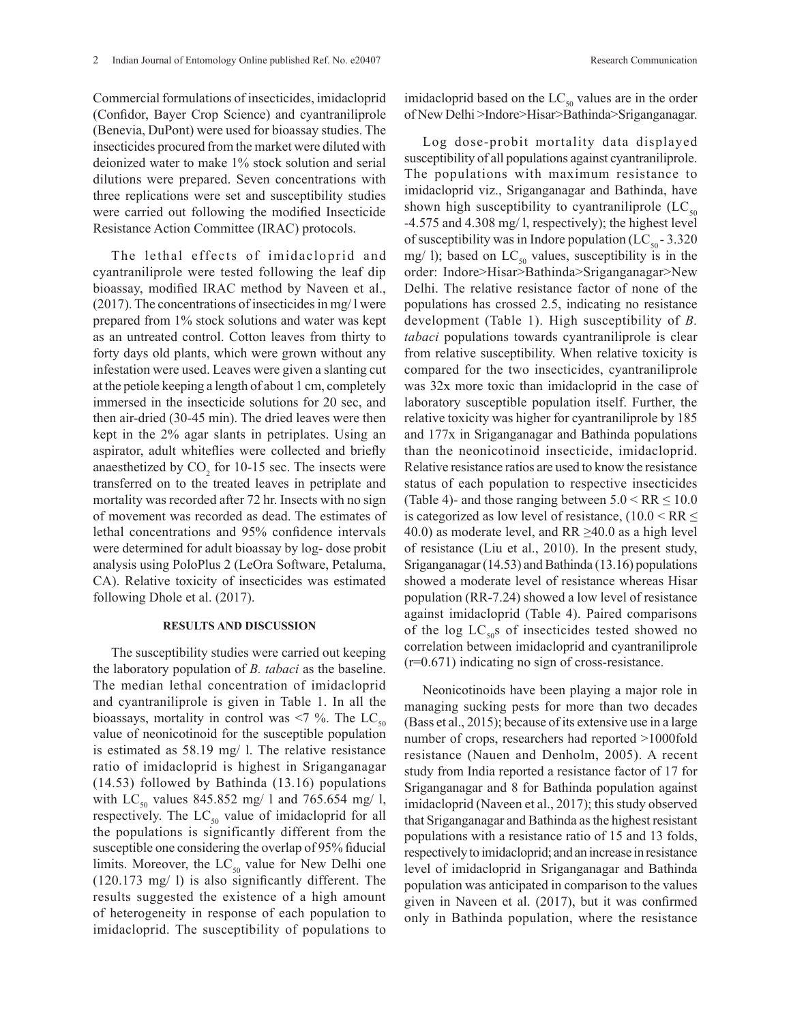Commercial formulations of insecticides, imidacloprid (Confidor, Bayer Crop Science) and cyantraniliprole (Benevia, DuPont) were used for bioassay studies. The insecticides procured from the market were diluted with deionized water to make 1% stock solution and serial dilutions were prepared. Seven concentrations with three replications were set and susceptibility studies were carried out following the modified Insecticide Resistance Action Committee (IRAC) protocols.

The lethal effects of imidacloprid and cyantraniliprole were tested following the leaf dip bioassay, modified IRAC method by Naveen et al., (2017). The concentrations of insecticides in mg/ l were prepared from 1% stock solutions and water was kept as an untreated control. Cotton leaves from thirty to forty days old plants, which were grown without any infestation were used. Leaves were given a slanting cut at the petiole keeping a length of about 1 cm, completely immersed in the insecticide solutions for 20 sec, and then air-dried (30-45 min). The dried leaves were then kept in the 2% agar slants in petriplates. Using an aspirator, adult whiteflies were collected and briefly anaesthetized by  $CO<sub>2</sub>$  for 10-15 sec. The insects were transferred on to the treated leaves in petriplate and mortality was recorded after 72 hr. Insects with no sign of movement was recorded as dead. The estimates of lethal concentrations and 95% confidence intervals were determined for adult bioassay by log- dose probit analysis using PoloPlus 2 (LeOra Software, Petaluma, CA). Relative toxicity of insecticides was estimated following Dhole et al. (2017).

## **RESULTS AND DISCUSSION**

The susceptibility studies were carried out keeping the laboratory population of *B. tabaci* as the baseline. The median lethal concentration of imidacloprid and cyantraniliprole is given in Table 1. In all the bioassays, mortality in control was  $\leq$ 7 %. The LC<sub>50</sub> value of neonicotinoid for the susceptible population is estimated as 58.19 mg/ l. The relative resistance ratio of imidacloprid is highest in Sriganganagar (14.53) followed by Bathinda (13.16) populations with  $LC_{50}$  values 845.852 mg/ l and 765.654 mg/ l, respectively. The  $LC_{50}$  value of imidacloprid for all the populations is significantly different from the susceptible one considering the overlap of 95% fiducial limits. Moreover, the  $LC_{50}$  value for New Delhi one (120.173 mg/ l) is also significantly different. The results suggested the existence of a high amount of heterogeneity in response of each population to imidacloprid. The susceptibility of populations to

imidacloprid based on the  $LC_{50}$  values are in the order of New Delhi >Indore>Hisar>Bathinda>Sriganganagar.

Log dose-probit mortality data displayed susceptibility of all populations against cyantraniliprole. The populations with maximum resistance to imidacloprid viz., Sriganganagar and Bathinda, have shown high susceptibility to cyantraniliprole  $(LC_{50})$ -4.575 and 4.308 mg/ l, respectively); the highest level of susceptibility was in Indore population (LC $_{50}$  - 3.320 mg/ l); based on  $LC_{50}$  values, susceptibility is in the order: Indore>Hisar>Bathinda>Sriganganagar>New Delhi. The relative resistance factor of none of the populations has crossed 2.5, indicating no resistance development (Table 1). High susceptibility of *B. tabaci* populations towards cyantraniliprole is clear from relative susceptibility. When relative toxicity is compared for the two insecticides, cyantraniliprole was 32x more toxic than imidacloprid in the case of laboratory susceptible population itself. Further, the relative toxicity was higher for cyantraniliprole by 185 and 177x in Sriganganagar and Bathinda populations than the neonicotinoid insecticide, imidacloprid. Relative resistance ratios are used to know the resistance status of each population to respective insecticides (Table 4)- and those ranging between  $5.0 \le RR \le 10.0$ is categorized as low level of resistance,  $(10.0 \le RR \le$ 40.0) as moderate level, and  $RR \ge 40.0$  as a high level of resistance (Liu et al., 2010). In the present study, Sriganganagar (14.53) and Bathinda (13.16) populations showed a moderate level of resistance whereas Hisar population (RR-7.24) showed a low level of resistance against imidacloprid (Table 4). Paired comparisons of the log  $LC_{50}$ s of insecticides tested showed no correlation between imidacloprid and cyantraniliprole (r=0.671) indicating no sign of cross-resistance.

Neonicotinoids have been playing a major role in managing sucking pests for more than two decades (Bass et al., 2015); because of its extensive use in a large number of crops, researchers had reported >1000fold resistance (Nauen and Denholm, 2005). A recent study from India reported a resistance factor of 17 for Sriganganagar and 8 for Bathinda population against imidacloprid (Naveen et al., 2017); this study observed that Sriganganagar and Bathinda as the highest resistant populations with a resistance ratio of 15 and 13 folds, respectively to imidacloprid; and an increase in resistance level of imidacloprid in Sriganganagar and Bathinda population was anticipated in comparison to the values given in Naveen et al. (2017), but it was confirmed only in Bathinda population, where the resistance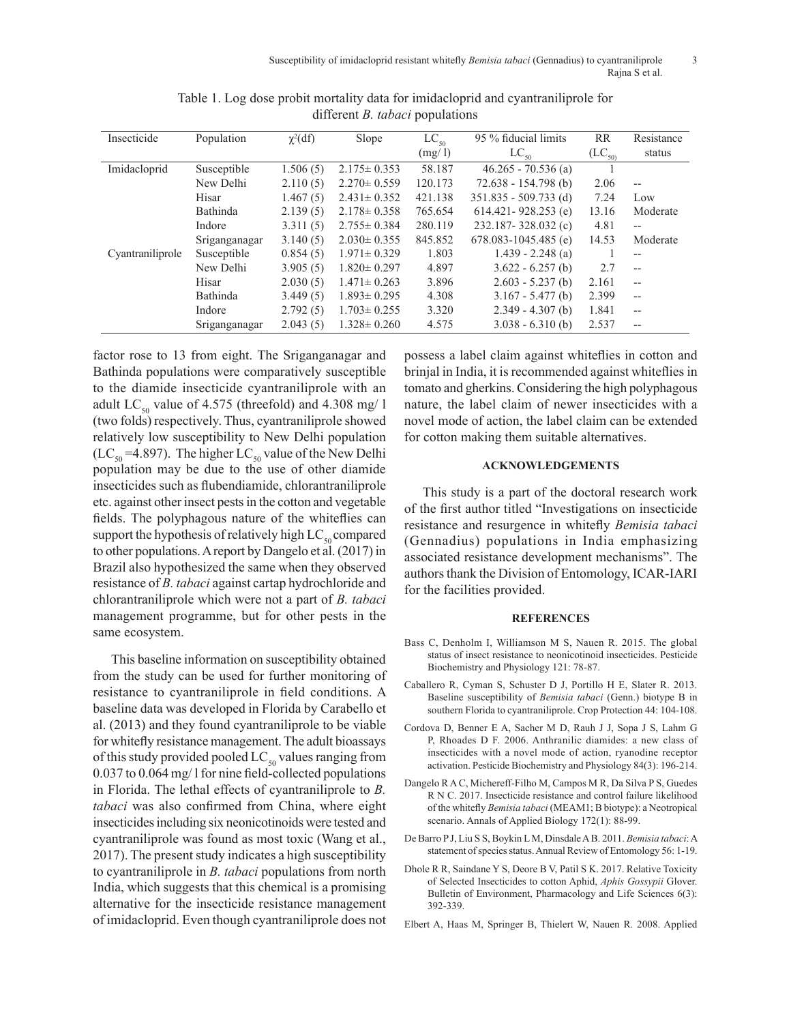| Insecticide      | Population    | $\chi^2(df)$ | Slope             | $LC_{50}$ | 95 % fiducial limits     | RR         | Resistance               |
|------------------|---------------|--------------|-------------------|-----------|--------------------------|------------|--------------------------|
|                  |               |              |                   | (mg/l)    | $LC_{50}$                | $(LC_{50}$ | status                   |
| Imidacloprid     | Susceptible   | 1.506(5)     | $2.175 \pm 0.353$ | 58.187    | $46.265 - 70.536$ (a)    |            |                          |
|                  | New Delhi     | 2.110(5)     | $2.270 \pm 0.559$ | 120.173   | $72.638 - 154.798$ (b)   | 2.06       | $-$                      |
|                  | Hisar         | 1.467(5)     | $2.431 \pm 0.352$ | 421.138   | $351.835 - 509.733$ (d)  | 7.24       | Low                      |
|                  | Bathinda      | 2.139(5)     | $2.178 \pm 0.358$ | 765.654   | $614.421 - 928.253$ (e)  | 13.16      | Moderate                 |
|                  | Indore        | 3.311(5)     | $2.755 \pm 0.384$ | 280.119   | 232.187-328.032 (c)      | 4.81       | $-$                      |
|                  | Sriganganagar | 3.140(5)     | $2.030 \pm 0.355$ | 845.852   | $678.083 - 1045.485$ (e) | 14.53      | Moderate                 |
| Cyantraniliprole | Susceptible   | 0.854(5)     | $1.971 \pm 0.329$ | 1.803     | $1.439 - 2.248$ (a)      |            | $- -$                    |
|                  | New Delhi     | 3.905(5)     | $1.820 \pm 0.297$ | 4.897     | $3.622 - 6.257$ (b)      | 2.7        | $-$                      |
|                  | Hisar         | 2.030(5)     | $1.471 \pm 0.263$ | 3.896     | $2.603 - 5.237(b)$       | 2.161      | $-$                      |
|                  | Bathinda      | 3.449(5)     | $1.893 \pm 0.295$ | 4.308     | $3.167 - 5.477$ (b)      | 2.399      | $-$                      |
|                  | Indore        | 2.792(5)     | $1.703 \pm 0.255$ | 3.320     | $2.349 - 4.307$ (b)      | 1.841      | $\overline{\phantom{a}}$ |
|                  | Sriganganagar | 2.043(5)     | $1.328 \pm 0.260$ | 4.575     | $3.038 - 6.310$ (b)      | 2.537      | $-$                      |

Table 1. Log dose probit mortality data for imidacloprid and cyantraniliprole for different *B. tabaci* populations

factor rose to 13 from eight. The Sriganganagar and Bathinda populations were comparatively susceptible to the diamide insecticide cyantraniliprole with an adult LC<sub>50</sub> value of 4.575 (threefold) and 4.308 mg/ l (two folds) respectively. Thus, cyantraniliprole showed relatively low susceptibility to New Delhi population  $(LC_{50} = 4.897)$ . The higher  $LC_{50}$  value of the New Delhi population may be due to the use of other diamide insecticides such as flubendiamide, chlorantraniliprole etc. against other insect pests in the cotton and vegetable fields. The polyphagous nature of the whiteflies can support the hypothesis of relatively high  $LC_{so}$  compared to other populations. A report by Dangelo et al. (2017) in Brazil also hypothesized the same when they observed resistance of *B. tabaci* against cartap hydrochloride and chlorantraniliprole which were not a part of *B. tabaci* management programme, but for other pests in the same ecosystem.

This baseline information on susceptibility obtained from the study can be used for further monitoring of resistance to cyantraniliprole in field conditions. A baseline data was developed in Florida by Carabello et al. (2013) and they found cyantraniliprole to be viable for whitefly resistance management. The adult bioassays of this study provided pooled  $LC_{50}$  values ranging from 0.037 to 0.064 mg/ l for nine field-collected populations in Florida. The lethal effects of cyantraniliprole to *B. tabaci* was also confirmed from China, where eight insecticides including six neonicotinoids were tested and cyantraniliprole was found as most toxic (Wang et al., 2017). The present study indicates a high susceptibility to cyantraniliprole in *B. tabaci* populations from north India, which suggests that this chemical is a promising alternative for the insecticide resistance management of imidacloprid. Even though cyantraniliprole does not

possess a label claim against whiteflies in cotton and brinjal in India, it is recommended against whiteflies in tomato and gherkins. Considering the high polyphagous nature, the label claim of newer insecticides with a novel mode of action, the label claim can be extended for cotton making them suitable alternatives.

## **ACKNOWLEDGEMENTS**

This study is a part of the doctoral research work of the first author titled "Investigations on insecticide resistance and resurgence in whitefly *Bemisia tabaci*  (Gennadius) populations in India emphasizing associated resistance development mechanisms". The authors thank the Division of Entomology, ICAR-IARI for the facilities provided.

### **REFERENCES**

- Bass C, Denholm I, Williamson M S, Nauen R. 2015. The global status of insect resistance to neonicotinoid insecticides. Pesticide Biochemistry and Physiology 121: 78-87.
- Caballero R, Cyman S, Schuster D J, Portillo H E, Slater R. 2013. Baseline susceptibility of *Bemisia tabaci* (Genn.) biotype B in southern Florida to cyantraniliprole. Crop Protection 44: 104-108.
- Cordova D, Benner E A, Sacher M D, Rauh J J, Sopa J S, Lahm G P, Rhoades D F. 2006. Anthranilic diamides: a new class of insecticides with a novel mode of action, ryanodine receptor activation. Pesticide Biochemistry and Physiology 84(3): 196-214.
- Dangelo R A C, Michereff-Filho M, Campos M R, Da Silva P S, Guedes R N C. 2017. Insecticide resistance and control failure likelihood of the whitefly *Bemisia tabaci* (MEAM1; B biotype): a Neotropical scenario. Annals of Applied Biology 172(1): 88-99.
- De Barro P J, Liu S S, Boykin L M, Dinsdale A B. 2011. *Bemisia tabaci*: A statement of species status. Annual Review of Entomology 56: 1-19.
- Dhole R R, Saindane Y S, Deore B V, Patil S K. 2017. Relative Toxicity of Selected Insecticides to cotton Aphid, *Aphis Gossypii* Glover. Bulletin of Environment, Pharmacology and Life Sciences 6(3): 392-339.
- Elbert A, Haas M, Springer B, Thielert W, Nauen R. 2008. Applied